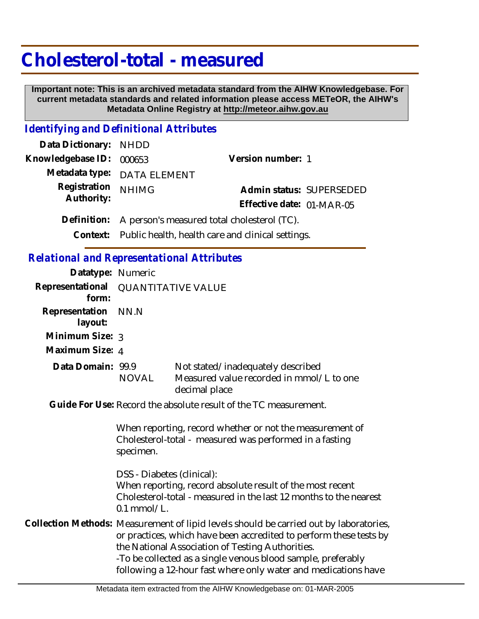## **Cholesterol-total - measured**

 **Important note: This is an archived metadata standard from the AIHW Knowledgebase. For current metadata standards and related information please access METeOR, the AIHW's Metadata Online Registry at http://meteor.aihw.gov.au**

## *Identifying and Definitional Attributes*

| Data Dictionary: NHDD    |                                                            |                           |  |
|--------------------------|------------------------------------------------------------|---------------------------|--|
| Knowledgebase ID: 000653 |                                                            | Version number: 1         |  |
|                          | Metadata type: DATA ELEMENT                                |                           |  |
| Registration             | <b>NHIMG</b>                                               | Admin status: SUPERSEDED  |  |
| Authority:               |                                                            | Effective date: 01-MAR-05 |  |
|                          | Definition: A person's measured total cholesterol (TC).    |                           |  |
|                          | Context: Public health, health care and clinical settings. |                           |  |

## *Relational and Representational Attributes*

specimen.

| Datatype: Numeric              |                                     |                                                                                                                     |  |
|--------------------------------|-------------------------------------|---------------------------------------------------------------------------------------------------------------------|--|
| form:                          | Representational QUANTITATIVE VALUE |                                                                                                                     |  |
| Representation NN.N<br>layout: |                                     |                                                                                                                     |  |
| Minimum Size: 3                |                                     |                                                                                                                     |  |
| Maximum Size: 4                |                                     |                                                                                                                     |  |
| Data Domain: 99.9              | <b>NOVAL</b>                        | Not stated/inadequately described<br>Measured value recorded in mmol/L to one<br>decimal place                      |  |
|                                |                                     | Guide For Use: Record the absolute result of the TC measurement.                                                    |  |
|                                |                                     | When reporting, record whether or not the measurement of<br>Cholesterol-total - measured was performed in a fasting |  |

DSS - Diabetes (clinical): When reporting, record absolute result of the most recent Cholesterol-total - measured in the last 12 months to the nearest 0.1 mmol/L.

Collection Methods: Measurement of lipid levels should be carried out by laboratories, or practices, which have been accredited to perform these tests by the National Association of Testing Authorities. -To be collected as a single venous blood sample, preferably following a 12-hour fast where only water and medications have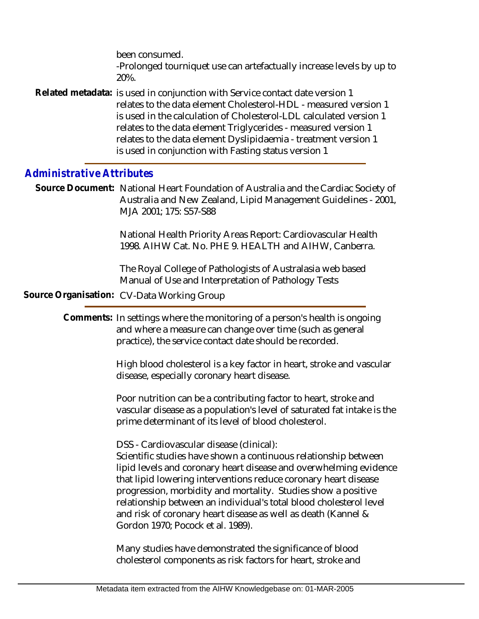been consumed. -Prolonged tourniquet use can artefactually increase levels by up to 20%.

Related metadata: is used in conjunction with Service contact date version 1 relates to the data element Cholesterol-HDL - measured version 1 is used in the calculation of Cholesterol-LDL calculated version 1 relates to the data element Triglycerides - measured version 1 relates to the data element Dyslipidaemia - treatment version 1 is used in conjunction with Fasting status version 1

## *Administrative Attributes*

Source Document: National Heart Foundation of Australia and the Cardiac Society of Australia and New Zealand, Lipid Management Guidelines - 2001, MJA 2001; 175: S57-S88

> National Health Priority Areas Report: Cardiovascular Health 1998. AIHW Cat. No. PHE 9. HEALTH and AIHW, Canberra.

The Royal College of Pathologists of Australasia web based Manual of Use and Interpretation of Pathology Tests

**Source Organisation:** CV-Data Working Group

Comments: In settings where the monitoring of a person's health is ongoing and where a measure can change over time (such as general practice), the service contact date should be recorded.

> High blood cholesterol is a key factor in heart, stroke and vascular disease, especially coronary heart disease.

Poor nutrition can be a contributing factor to heart, stroke and vascular disease as a population's level of saturated fat intake is the prime determinant of its level of blood cholesterol.

DSS - Cardiovascular disease (clinical):

Scientific studies have shown a continuous relationship between lipid levels and coronary heart disease and overwhelming evidence that lipid lowering interventions reduce coronary heart disease progression, morbidity and mortality. Studies show a positive relationship between an individual's total blood cholesterol level and risk of coronary heart disease as well as death (Kannel & Gordon 1970; Pocock et al. 1989).

Many studies have demonstrated the significance of blood cholesterol components as risk factors for heart, stroke and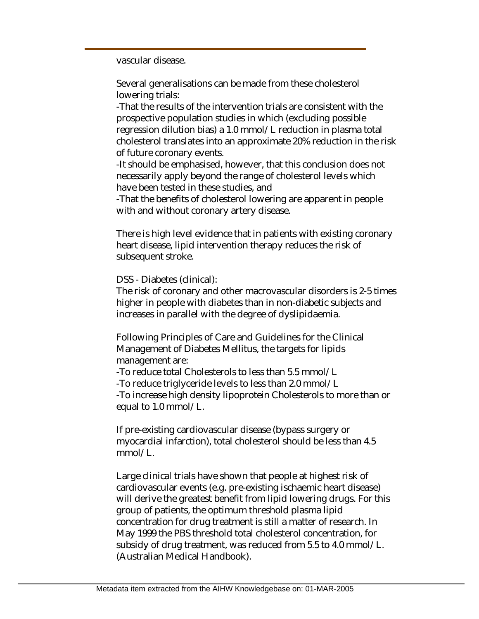vascular disease.

Several generalisations can be made from these cholesterol lowering trials:

-That the results of the intervention trials are consistent with the prospective population studies in which (excluding possible regression dilution bias) a 1.0 mmol/L reduction in plasma total cholesterol translates into an approximate 20% reduction in the risk of future coronary events.

-It should be emphasised, however, that this conclusion does not necessarily apply beyond the range of cholesterol levels which have been tested in these studies, and

-That the benefits of cholesterol lowering are apparent in people with and without coronary artery disease.

There is high level evidence that in patients with existing coronary heart disease, lipid intervention therapy reduces the risk of subsequent stroke.

DSS - Diabetes (clinical):

The risk of coronary and other macrovascular disorders is 2-5 times higher in people with diabetes than in non-diabetic subjects and increases in parallel with the degree of dyslipidaemia.

Following Principles of Care and Guidelines for the Clinical Management of Diabetes Mellitus, the targets for lipids management are:

-To reduce total Cholesterols to less than 5.5 mmol/L

-To reduce triglyceride levels to less than 2.0 mmol/L

-To increase high density lipoprotein Cholesterols to more than or equal to 1.0 mmol/L.

If pre-existing cardiovascular disease (bypass surgery or myocardial infarction), total cholesterol should be less than 4.5 mmol/L.

Large clinical trials have shown that people at highest risk of cardiovascular events (e.g. pre-existing ischaemic heart disease) will derive the greatest benefit from lipid lowering drugs. For this group of patients, the optimum threshold plasma lipid concentration for drug treatment is still a matter of research. In May 1999 the PBS threshold total cholesterol concentration, for subsidy of drug treatment, was reduced from 5.5 to 4.0 mmol/L. (Australian Medical Handbook).